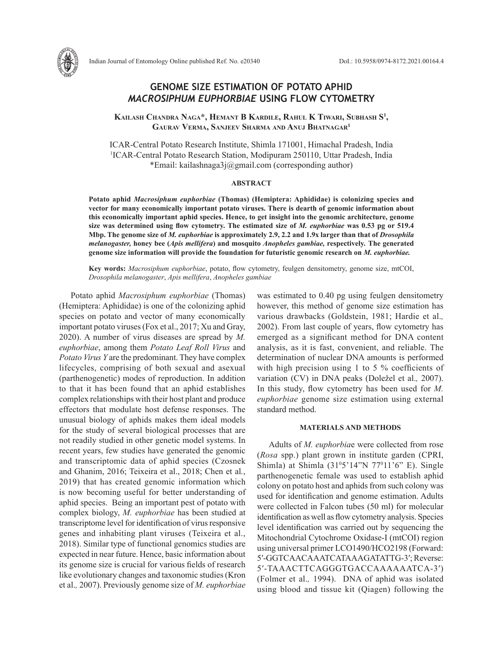

# **GENOME SIZE ESTIMATION OF POTATO APHID**  *MACROSIPHUM EUPHORBIAE* **USING FLOW CYTOMETRY**

**Kailash Chandra Naga\*, Hemant B Kardile, Rahul K Tiwari, Subhash S1 , Gaurav Verma, Sanjeev Sharma and Anuj Bhatnagar1**

ICAR-Central Potato Research Institute, Shimla 171001, Himachal Pradesh, India <sup>1</sup>ICAR-Central Potato Research Station, Modipuram 250110, Uttar Pradesh, India \*Email: kailashnaga3j@gmail.com (corresponding author)

### **ABSTRACT**

**Potato aphid** *Macrosiphum euphorbiae* **(Thomas) (Hemiptera: Aphididae) is colonizing species and vector for many economically important potato viruses. There is dearth of genomic information about this economically important aphid species. Hence, to get insight into the genomic architecture, genome size was determined using flow cytometry. The estimated size of** *M. euphorbiae* **was 0.53 pg or 519.4 Mbp. The genome size of** *M. euphorbiae* **is approximately 2.9, 2.2 and 1.9x larger than that of** *Drosophila melanogaster,* **honey bee (***Apis mellifera***) and mosquito** *Anopheles gambiae,* **respectively***.* **The generated genome size information will provide the foundation for futuristic genomic research on** *M. euphorbiae.* 

**Key words:** *Macrosiphum euphorbiae*, potato, flow cytometry, feulgen densitometry, genome size, mtCOI, *Drosophila melanogaster*, *Apis mellifera*, *Anopheles gambiae*

Potato aphid *Macrosiphum euphorbiae* (Thomas) (Hemiptera: Aphididae) is one of the colonizing aphid species on potato and vector of many economically important potato viruses (Fox et al., 2017; Xu and Gray, 2020). A number of virus diseases are spread by *M. euphorbiae*, among them *Potato Leaf Roll Virus* and *Potato Virus Y* are the predominant. They have complex lifecycles, comprising of both sexual and asexual (parthenogenetic) modes of reproduction. In addition to that it has been found that an aphid establishes complex relationships with their host plant and produce effectors that modulate host defense responses. The unusual biology of aphids makes them ideal models for the study of several biological processes that are not readily studied in other genetic model systems. In recent years, few studies have generated the genomic and transcriptomic data of aphid species (Czosnek and Ghanim, 2016; Teixeira et al., 2018; Chen et al*.*, 2019) that has created genomic information which is now becoming useful for better understanding of aphid species. Being an important pest of potato with complex biology, *M. euphorbiae* has been studied at transcriptome level for identification of virus responsive genes and inhabiting plant viruses (Teixeira et al., 2018). Similar type of functional genomics studies are expected in near future. Hence, basic information about its genome size is crucial for various fields of research like evolutionary changes and taxonomic studies (Kron et al.*,* 2007). Previously genome size of *M. euphorbiae* 

was estimated to 0.40 pg using feulgen densitometry however, this method of genome size estimation has various drawbacks (Goldstein, 1981; Hardie et al.*,* 2002). From last couple of years, flow cytometry has emerged as a significant method for DNA content analysis, as it is fast, convenient, and reliable. The determination of nuclear DNA amounts is performed with high precision using 1 to 5 % coefficients of variation (CV) in DNA peaks (Doležel et al.*,* 2007). In this study, flow cytometry has been used for *M. euphorbiae* genome size estimation using external standard method.

## **MATERIALS AND METHODS**

Adults of *M. euphorbia*e were collected from rose (*Rosa* spp.) plant grown in institute garden (CPRI, Shimla) at Shimla  $(31<sup>0</sup>5'14''N 77<sup>0</sup>11'6''$  E). Single parthenogenetic female was used to establish aphid colony on potato host and aphids from such colony was used for identification and genome estimation. Adults were collected in Falcon tubes (50 ml) for molecular identification as well as flow cytometry analysis. Species level identification was carried out by sequencing the Mitochondrial Cytochrome Oxidase-I (mtCOI) region using universal primer LCO1490/HCO2198 (Forward: 5′-GGTCAACAAATCATAAAGATATTG-3′; Reverse: 5′-TAAACTTCAGGGTGACCAAAAAATCA-3′) (Folmer et al.*,* 1994). DNA of aphid was isolated using blood and tissue kit (Qiagen) following the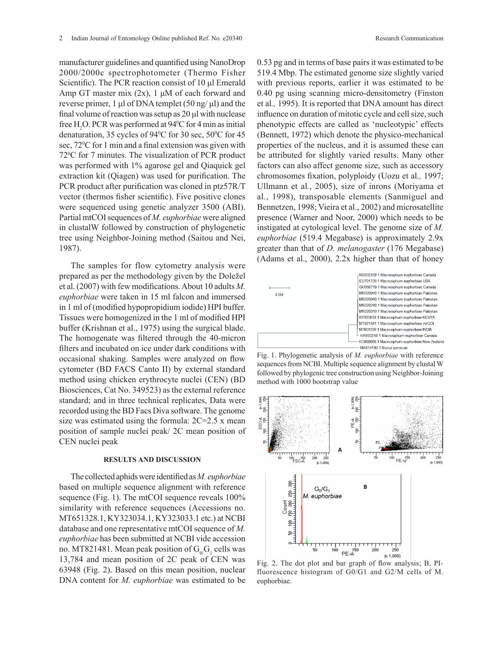manufacturer guidelines and quantified using NanoDrop 2000/2000c spectrophotometer (Thermo Fisher Scientific). The PCR reaction consist of 10 μl Emerald Amp GT master mix (2x), 1 μM of each forward and reverse primer, 1 μl of DNA templet  $(50$  ng/ μl) and the final volume of reaction was setup as 20 μl with nuclease free  $H_2O$ . PCR was performed at 94°C for 4 min as initial denaturation, 35 cycles of  $94^{\circ}$ C for 30 sec, 50 $^{\circ}$ C for 45 sec, 72<sup>o</sup>C for 1 min and a final extension was given with 72<sup>o</sup>C for 7 minutes. The visualization of PCR product was performed with 1% agarose gel and Qiaquick gel extraction kit (Qiagen) was used for purification. The PCR product after purification was cloned in ptz57R/T vector (thermos fisher scientific). Five positive clones were sequenced using genetic analyzer 3500 (ABI). Partial mtCOI sequences of *M. euphorbiae* were aligned in clustalW followed by construction of phylogenetic tree using Neighbor-Joining method (Saitou and Nei, 1987).

The samples for flow cytometry analysis were prepared as per the methodology given by the Doležel et al. (2007) with few modifications. About 10 adults *M. euphorbiae* were taken in 15 ml falcon and immersed in 1 ml of (modified hypopropidium iodide) HPI buffer. Tissues were homogenized in the 1 ml of modified HPI buffer (Krishnan et al., 1975) using the surgical blade. The homogenate was filtered through the 40-micron filters and incubated on ice under dark conditions with occasional shaking. Samples were analyzed on flow cytometer (BD FACS Canto II) by external standard method using chicken erythrocyte nuclei (CEN) (BD Biosciences, Cat No. 349523) as the external reference standard; and in three technical replicates, Data were recorded using the BD Facs Diva software. The genome size was estimated using the formula: 2C=2.5 x mean position of sample nuclei peak/ 2C mean position of CEN nuclei peak

## **RESULTS AND DISCUSSION**

The collected aphids were identified as *M. euphorbiae*  based on multiple sequence alignment with reference sequence (Fig. 1). The mtCOI sequence reveals 100% similarity with reference sequences (Accessions no. MT651328.1, KY323034.1, KY323033.1 etc.) at NCBI database and one representative mtCOI sequence of *M. euphorbiae* has been submitted at NCBI vide accession no. MT821481. Mean peak position of  $G_0G_1$  cells was 13,784 and mean position of 2C peak of CEN was 63948 (Fig. 2). Based on this mean position, nuclear DNA content for *M. euphorbiae* was estimated to be

0.53 pg and in terms of base pairs it was estimated to be 519.4 Mbp. The estimated genome size slightly varied with previous reports, earlier it was estimated to be 0.40 pg using scanning micro-densitometry (Finston et al*.,* 1995). It is reported that DNA amount has direct influence on duration of mitotic cycle and cell size, such phenotypic effects are called as 'nucleotypic' effects (Bennett, 1972) which denote the physico-mechanical properties of the nucleus, and it is assumed these can be attributed for slightly varied results. Many other factors can also affect genome size, such as accessory chromosomes fixation, polyploidy (Uozu et al*.,* 1997; Ullmann et al*.*, 2005), size of inrons (Moriyama et al*.*, 1998), transposable elements (Sanmiguel and Bennetzen, 1998; Vieira et al., 2002) and microsatellite presence (Warner and Noor, 2000) which needs to be instigated at cytological level. The genome size of *M. euphorbiae* (519.4 Megabase) is approximately 2.9x greater than that of *D. melanogaster* (176 Megabase) (Adams et al., 2000), 2.2x higher than that of honey



Fig. 1. Phylogenetic analysis of *M. euphorbiae* with reference sequences from NCBI. Multiple sequence alignment by clustal W followed by phylogenic tree construction using Neighbor-Joining method with 1000 bootstrap value



Fig. 2. The dot plot and bar graph of flow analysis; B, PI-Fig. 2. The dot plot and bar graph of now analysis; B, PI-fluorescence histogram of  $G0/G1$  and  $G2/M$  cells of M. euphorbiae. G2/M cells of *M. euphorbiae.*